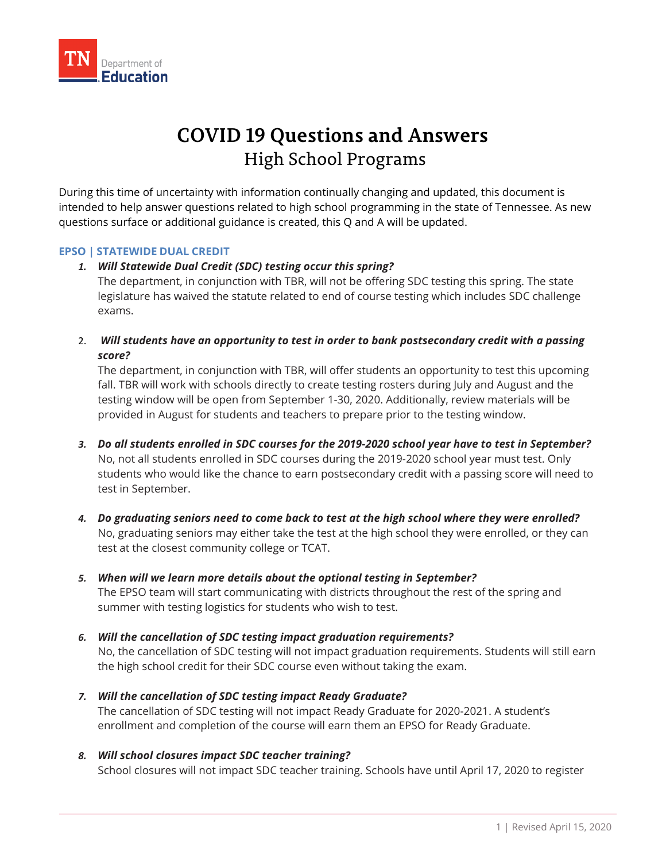

# **COVID 19 Questions and Answers** High School Programs

During this time of uncertainty with information continually changing and updated, this document is intended to help answer questions related to high school programming in the state of Tennessee. As new questions surface or additional guidance is created, this Q and A will be updated.

# **EPSO | STATEWIDE DUAL CREDIT**

# *1. Will Statewide Dual Credit (SDC) testing occur this spring?*

The department, in conjunction with TBR, will not be offering SDC testing this spring. The state legislature has waived the statute related to end of course testing which includes SDC challenge exams.

2. *Will students have an opportunity to test in order to bank postsecondary credit with a passing score?*

The department, in conjunction with TBR, will offer students an opportunity to test this upcoming fall. TBR will work with schools directly to create testing rosters during July and August and the testing window will be open from September 1-30, 2020. Additionally, review materials will be provided in August for students and teachers to prepare prior to the testing window.

- *3. Do all students enrolled in SDC courses for the 2019-2020 school year have to test in September?* No, not all students enrolled in SDC courses during the 2019-2020 school year must test. Only students who would like the chance to earn postsecondary credit with a passing score will need to test in September.
- *4. Do graduating seniors need to come back to test at the high school where they were enrolled?* No, graduating seniors may either take the test at the high school they were enrolled, or they can test at the closest community college or TCAT.
- *5. When will we learn more details about the optional testing in September?* The EPSO team will start communicating with districts throughout the rest of the spring and summer with testing logistics for students who wish to test.
- *6. Will the cancellation of SDC testing impact graduation requirements?*

No, the cancellation of SDC testing will not impact graduation requirements. Students will still earn the high school credit for their SDC course even without taking the exam.

- *7. Will the cancellation of SDC testing impact Ready Graduate?* The cancellation of SDC testing will not impact Ready Graduate for 2020-2021. A student's enrollment and completion of the course will earn them an EPSO for Ready Graduate.
- *8. Will school closures impact SDC teacher training?* School closures will not impact SDC teacher training. Schools have until April 17, 2020 to register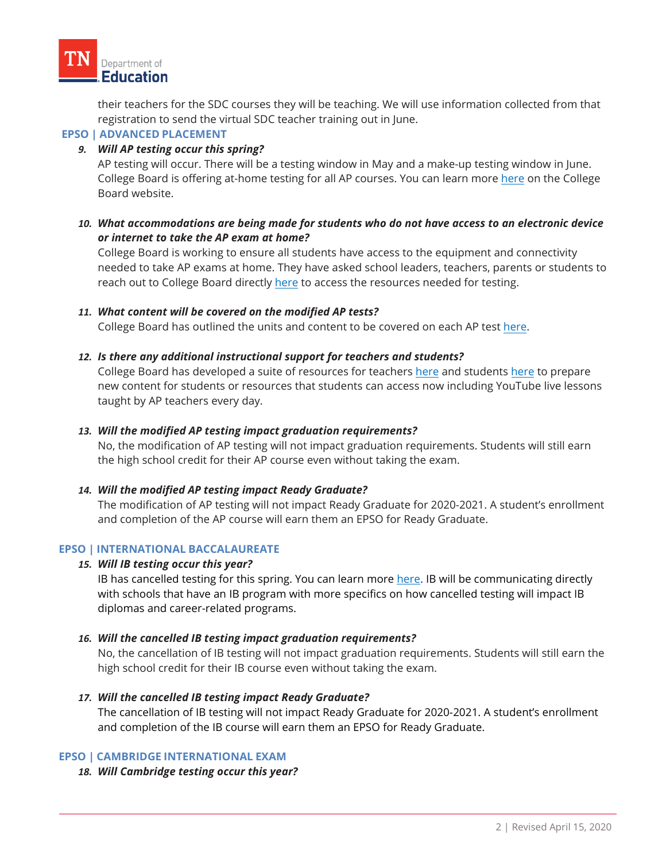their teachers for the SDC courses they will be teaching. We will use information collected from that registration to send the virtual SDC teacher training out in June.

# **EPSO | ADVANCED PLACEMENT**

# *9. Will AP testing occur this spring?*

AP testing will occur. There will be a testing window in May and a make-up testing window in June. College Board is offering at-home testing for all AP courses. You can learn more [here](https://apcoronavirusupdates.collegeboard.org/students/taking-ap-exams/ap-exam-schedule) on the College Board website.

# *10. What accommodations are being made for students who do not have access to an electronic device or internet to take the AP exam at home?*

College Board is working to ensure all students have access to the equipment and connectivity needed to take AP exams at home. They have asked school leaders, teachers, parents or students to reach out to College Board directly [here](https://collegeboard.tfaforms.net/74) to access the resources needed for testing.

# *11. What content will be covered on the modified AP tests?*

College Board has outlined the units and content to be covered on each AP test [here.](https://apcentral.collegeboard.org/about-ap/news-changes/coronavirus-update)

# *12. Is there any additional instructional support for teachers and students?*

College Board has developed a suite of resources for teachers [here](https://apcentral.collegeboard.org/pdf/ap-program-coronavirus-covid19-release.pdf) and students [here](https://apstudents.collegeboard.org/coronavirus-updates#free-ap-classes) to prepare new content for students or resources that students can access now including YouTube live lessons taught by AP teachers every day.

## *13. Will the modified AP testing impact graduation requirements?*

No, the modification of AP testing will not impact graduation requirements. Students will still earn the high school credit for their AP course even without taking the exam.

#### *14. Will the modified AP testing impact Ready Graduate?*

The modification of AP testing will not impact Ready Graduate for 2020-2021. A student's enrollment and completion of the AP course will earn them an EPSO for Ready Graduate.

#### **EPSO | INTERNATIONAL BACCALAUREATE**

#### *15. Will IB testing occur this year?*

IB has cancelled testing for this spring. You can learn more [here.](https://www.ibo.org/news/news-about-the-ib/may-2020-examinations-will-no-longer-be-held/) IB will be communicating directly with schools that have an IB program with more specifics on how cancelled testing will impact IB diplomas and career-related programs.

# *16. Will the cancelled IB testing impact graduation requirements?*

No, the cancellation of IB testing will not impact graduation requirements. Students will still earn the high school credit for their IB course even without taking the exam.

#### *17. Will the cancelled IB testing impact Ready Graduate?*

The cancellation of IB testing will not impact Ready Graduate for 2020-2021. A student's enrollment and completion of the IB course will earn them an EPSO for Ready Graduate.

#### **EPSO | CAMBRIDGE INTERNATIONAL EXAM**

#### *18. Will Cambridge testing occur this year?*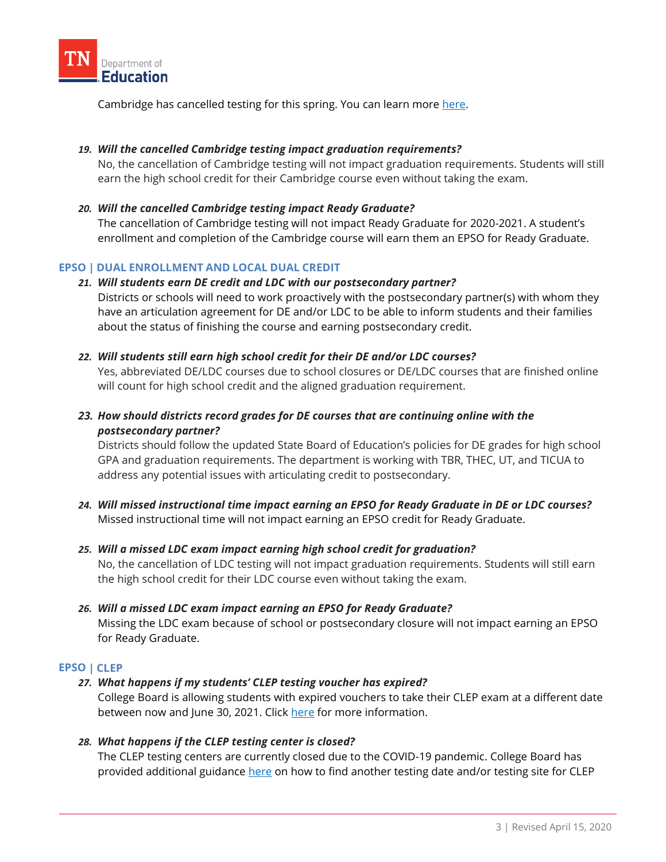

Cambridge has cancelled testing for this spring. You can learn more here.

# *19. Will the cancelled Cambridge testing impact graduation requirements?*

No, the cancellation of Cambridge testing will not impact graduation requirements. Students will still earn the high school credit for their Cambridge course even without taking the exam.

## *20. Will the cancelled Cambridge testing impact Ready Graduate?*

The cancellation of Cambridge testing will not impact Ready Graduate for 2020-2021. A student's enrollment and completion of the Cambridge course will earn them an EPSO for Ready Graduate.

# **EPSO | DUAL ENROLLMENT AND LOCAL DUAL CREDIT**

#### *21. Will students earn DE credit and LDC with our postsecondary partner?*

Districts or schools will need to work proactively with the postsecondary partner(s) with whom they have an articulation agreement for DE and/or LDC to be able to inform students and their families about the status of finishing the course and earning postsecondary credit.

# *22. Will students still earn high school credit for their DE and/or LDC courses?*

Yes, abbreviated DE/LDC courses due to school closures or DE/LDC courses that are finished online will count for high school credit and the aligned graduation requirement.

# *23. How should districts record grades for DE courses that are continuing online with the postsecondary partner?*

Districts should follow the updated State Board of Education's policies for DE grades for high school GPA and graduation requirements. The department is working with TBR, THEC, UT, and TICUA to address any potential issues with articulating credit to postsecondary.

*24. Will missed instructional time impact earning an EPSO for Ready Graduate in DE or LDC courses?* Missed instructional time will not impact earning an EPSO credit for Ready Graduate.

#### *25. Will a missed LDC exam impact earning high school credit for graduation?*

No, the cancellation of LDC testing will not impact graduation requirements. Students will still earn the high school credit for their LDC course even without taking the exam.

#### *26. Will a missed LDC exam impact earning an EPSO for Ready Graduate?*

Missing the LDC exam because of school or postsecondary closure will not impact earning an EPSO for Ready Graduate.

#### **EPSO | CLEP**

# *27. What happens if my students' CLEP testing voucher has expired?*

College Board is allowing students with expired vouchers to take their CLEP exam at a different date between now and June 30, 2021. Clic[k here](https://clep.collegeboard.org/coronavirus-updates) for more information.

#### *28. What happens if the CLEP testing center is closed?*

The CLEP testing centers are currently closed due to the COVID-19 pandemic. College Board has provided additional guidance [here](https://clep.collegeboard.org/coronavirus-updates) on how to find another testing date and/or testing site for CLEP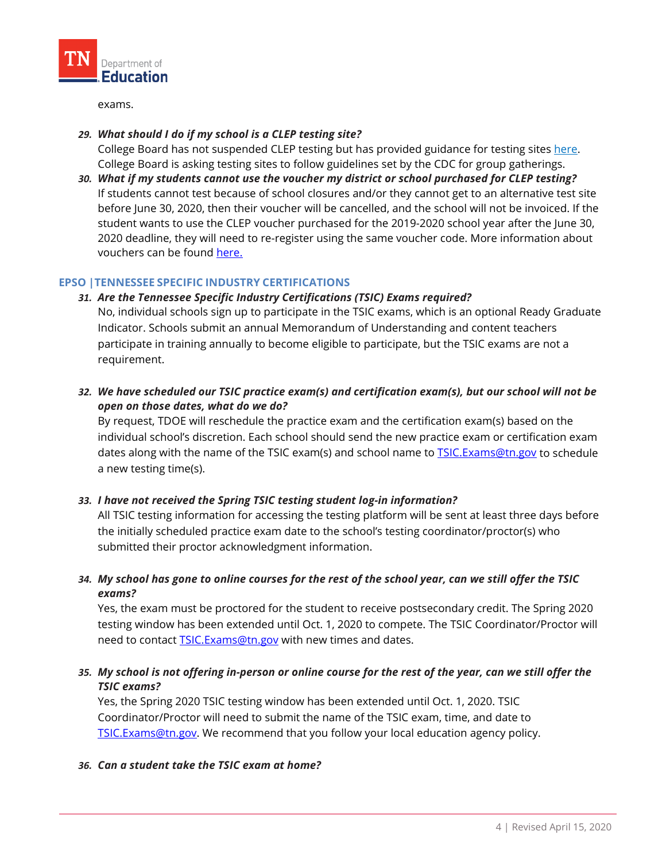

exams.

## *29. What should I do if my school is a CLEP testing site?*

College Board has not suspended CLEP testing but has provided guidance for testing sites [here.](https://clep.collegeboard.org/pdf/guidance-faqs-clep-test-center-staff-new-coronavirus-covid-19-march-2020.pdf) College Board is asking testing sites to follow guidelines set by the CDC for group gatherings.

*30. What if my students cannot use the voucher my district or school purchased for CLEP testing?* If students cannot test because of school closures and/or they cannot get to an alternative test site before June 30, 2020, then their voucher will be cancelled, and the school will not be invoiced. If the student wants to use the CLEP voucher purchased for the 2019-2020 school year after the June 30, 2020 deadline, they will need to re-register using the same voucher code. More information about vouchers can be found [here.](https://clep.collegeboard.org/coronavirus-updates)

#### **EPSO |TENNESSEE SPECIFIC INDUSTRY CERTIFICATIONS**

# *31. Are the Tennessee Specific Industry Certifications (TSIC) Exams required?*

No, individual schools sign up to participate in the TSIC exams, which is an optional Ready Graduate Indicator. Schools submit an annual Memorandum of Understanding and content teachers participate in training annually to become eligible to participate, but the TSIC exams are not a requirement.

*32. We have scheduled our TSIC practice exam(s) and certification exam(s), but our school will not be open on those dates, what do we do?*

By request, TDOE will reschedule the practice exam and the certification exam(s) based on the individual school's discretion. Each school should send the new practice exam or certification exam dates along with the name of the TSIC exam(s) and school name to TSIC. Exams@tn.gov to schedule a new testing time(s).

# *33. I have not received the Spring TSIC testing student log-in information?*

All TSIC testing information for accessing the testing platform will be sent at least three days before the initially scheduled practice exam date to the school's testing coordinator/proctor(s) who submitted their proctor acknowledgment information.

# *34. My school has gone to online courses for the rest of the school year, can we still offer the TSIC exams?*

Yes, the exam must be proctored for the student to receive postsecondary credit. The Spring 2020 testing window has been extended until Oct. 1, 2020 to compete. The TSIC Coordinator/Proctor will need to contact **TSIC.Exams@tn.gov** with new times and dates.

# *35. My school is not offering in-person or online course for the rest of the year, can we still offer the TSIC exams?*

Yes, the Spring 2020 TSIC testing window has been extended until Oct. 1, 2020. TSIC Coordinator/Proctor will need to submit the name of the TSIC exam, time, and date to [TSIC.Exams@tn.gov.](mailto:TSIC.Exams@tn.gov) We recommend that you follow your local education agency policy.

#### *36. Can a student take the TSIC exam at home?*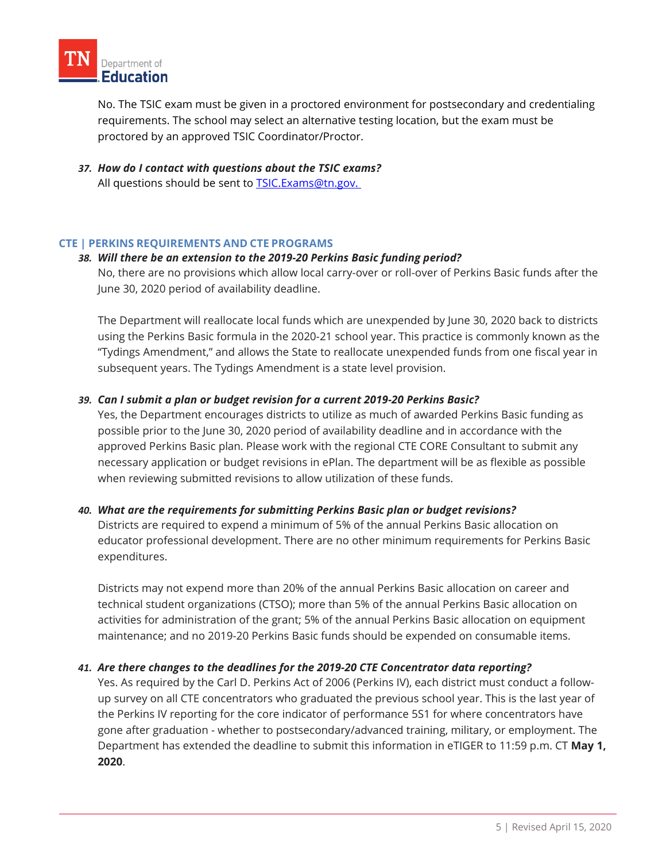

No. The TSIC exam must be given in a proctored environment for postsecondary and credentialing requirements. The school may select an alternative testing location, but the exam must be proctored by an approved TSIC Coordinator/Proctor.

*37. How do I contact with questions about the TSIC exams?* All questions should be sent to **TSIC.Exams@tn.gov.** 

#### **CTE | PERKINS REQUIREMENTS AND CTE PROGRAMS**

#### *38. Will there be an extension to the 2019-20 Perkins Basic funding period?*

No, there are no provisions which allow local carry-over or roll-over of Perkins Basic funds after the June 30, 2020 period of availability deadline.

The Department will reallocate local funds which are unexpended by June 30, 2020 back to districts using the Perkins Basic formula in the 2020-21 school year. This practice is commonly known as the "Tydings Amendment," and allows the State to reallocate unexpended funds from one fiscal year in subsequent years. The Tydings Amendment is a state level provision.

#### *39. Can I submit a plan or budget revision for a current 2019-20 Perkins Basic?*

Yes, the Department encourages districts to utilize as much of awarded Perkins Basic funding as possible prior to the June 30, 2020 period of availability deadline and in accordance with the approved Perkins Basic plan. Please work with the regional CTE CORE Consultant to submit any necessary application or budget revisions in ePlan. The department will be as flexible as possible when reviewing submitted revisions to allow utilization of these funds.

#### *40. What are the requirements for submitting Perkins Basic plan or budget revisions?*

Districts are required to expend a minimum of 5% of the annual Perkins Basic allocation on educator professional development. There are no other minimum requirements for Perkins Basic expenditures.

Districts may not expend more than 20% of the annual Perkins Basic allocation on career and technical student organizations (CTSO); more than 5% of the annual Perkins Basic allocation on activities for administration of the grant; 5% of the annual Perkins Basic allocation on equipment maintenance; and no 2019-20 Perkins Basic funds should be expended on consumable items.

#### *41. Are there changes to the deadlines for the 2019-20 CTE Concentrator data reporting?*

Yes. As required by the Carl D. Perkins Act of 2006 (Perkins IV), each district must conduct a followup survey on all CTE concentrators who graduated the previous school year. This is the last year of the Perkins IV reporting for the core indicator of performance 5S1 for where concentrators have gone after graduation - whether to postsecondary/advanced training, military, or employment. The Department has extended the deadline to submit this information in eTIGER to 11:59 p.m. CT **May 1, 2020**.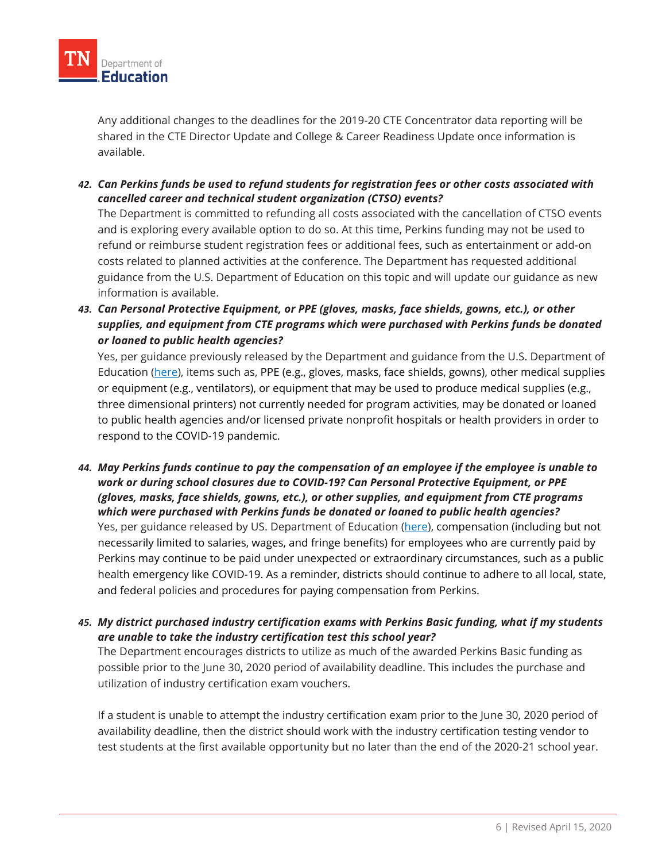

Any additional changes to the deadlines for the 2019-20 CTE Concentrator data reporting will be shared in the CTE Director Update and College & Career Readiness Update once information is available.

*42. Can Perkins funds be used to refund students for registration fees or other costs associated with cancelled career and technical student organization (CTSO) events?*

The Department is committed to refunding all costs associated with the cancellation of CTSO events and is exploring every available option to do so. At this time, Perkins funding may not be used to refund or reimburse student registration fees or additional fees, such as entertainment or add-on costs related to planned activities at the conference. The Department has requested additional guidance from the U.S. Department of Education on this topic and will update our guidance as new information is available.

*43. Can Personal Protective Equipment, or PPE (gloves, masks, face shields, gowns, etc.), or other supplies, and equipment from CTE programs which were purchased with Perkins funds be donated or loaned to public health agencies?*

Yes, per guidance previously released by the Department and guidance from the U.S. Department of Education [\(here\)](https://s3.amazonaws.com/PCRN/docs/20-0114_Guidance_on_Donation_or_Loan_of_PPE.pdf), items such as, PPE (e.g., gloves, masks, face shields, gowns), other medical supplies or equipment (e.g., ventilators), or equipment that may be used to produce medical supplies (e.g., three dimensional printers) not currently needed for program activities, may be donated or loaned to public health agencies and/or licensed private nonprofit hospitals or health providers in order to respond to the COVID-19 pandemic.

- *44. May Perkins funds continue to pay the compensation of an employee if the employee is unable to work or during school closures due to COVID-19? Can Personal Protective Equipment, or PPE (gloves, masks, face shields, gowns, etc.), or other supplies, and equipment from CTE programs which were purchased with Perkins funds be donated or loaned to public health agencies?* Yes, per guidance released by US. Department of Education [\(here\)](https://www2.ed.gov/documents/coronavirus/factsheet-fiscal-questions.pdf), compensation (including but not necessarily limited to salaries, wages, and fringe benefits) for employees who are currently paid by Perkins may continue to be paid under unexpected or extraordinary circumstances, such as a public health emergency like COVID-19. As a reminder, districts should continue to adhere to all local, state, and federal policies and procedures for paying compensation from Perkins.
- *45. My district purchased industry certification exams with Perkins Basic funding, what if my students are unable to take the industry certification test this school year?*

The Department encourages districts to utilize as much of the awarded Perkins Basic funding as possible prior to the June 30, 2020 period of availability deadline. This includes the purchase and utilization of industry certification exam vouchers.

If a student is unable to attempt the industry certification exam prior to the June 30, 2020 period of availability deadline, then the district should work with the industry certification testing vendor to test students at the first available opportunity but no later than the end of the 2020-21 school year.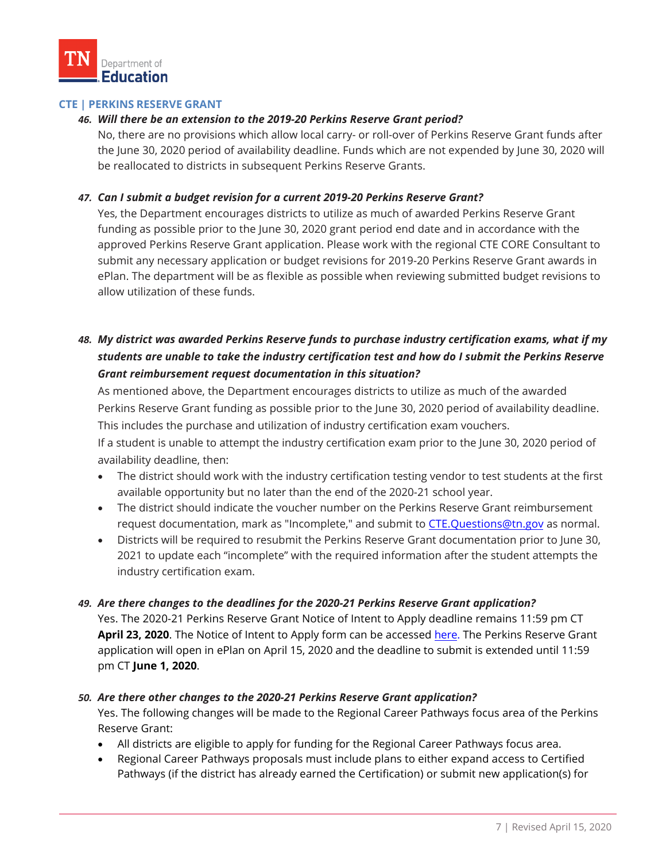# **CTE | PERKINS RESERVE GRANT**

# *46. Will there be an extension to the 2019-20 Perkins Reserve Grant period?*

No, there are no provisions which allow local carry- or roll-over of Perkins Reserve Grant funds after the June 30, 2020 period of availability deadline. Funds which are not expended by June 30, 2020 will be reallocated to districts in subsequent Perkins Reserve Grants.

# *47. Can I submit a budget revision for a current 2019-20 Perkins Reserve Grant?*

Yes, the Department encourages districts to utilize as much of awarded Perkins Reserve Grant funding as possible prior to the June 30, 2020 grant period end date and in accordance with the approved Perkins Reserve Grant application. Please work with the regional CTE CORE Consultant to submit any necessary application or budget revisions for 2019-20 Perkins Reserve Grant awards in ePlan. The department will be as flexible as possible when reviewing submitted budget revisions to allow utilization of these funds.

# *48. My district was awarded Perkins Reserve funds to purchase industry certification exams, what if my students are unable to take the industry certification test and how do I submit the Perkins Reserve Grant reimbursement request documentation in this situation?*

As mentioned above, the Department encourages districts to utilize as much of the awarded Perkins Reserve Grant funding as possible prior to the June 30, 2020 period of availability deadline. This includes the purchase and utilization of industry certification exam vouchers.

If a student is unable to attempt the industry certification exam prior to the June 30, 2020 period of availability deadline, then:

- The district should work with the industry certification testing vendor to test students at the first available opportunity but no later than the end of the 2020-21 school year.
- The district should indicate the voucher number on the Perkins Reserve Grant reimbursement request documentation, mark as "Incomplete," and submit to [CTE.Questions@tn.gov](mailto:CTE.Questions@tn.gov) as normal.
- Districts will be required to resubmit the Perkins Reserve Grant documentation prior to June 30, 2021 to update each "incomplete" with the required information after the student attempts the industry certification exam.

#### *49. Are there changes to the deadlines for the 2020-21 Perkins Reserve Grant application?*

Yes. The 2020-21 Perkins Reserve Grant Notice of Intent to Apply deadline remains 11:59 pm CT **April 23, 2020**. The Notice of Intent to Apply form can be accessed [here.](https://urldefense.com/v3/__https:/www.us8.list-manage.com/track/click?u=b28b453ee164f9a2e2b5057e1&id=608ff5169b&e=ca39720dd3__;!!PRtDf9A!_mCXt4AVP1sNBQ7tNG28zTK6j9qvC5hp77CRt7Lg4jGyDT9Dz4Pkz7GD5Pg3r5h6ug$) The Perkins Reserve Grant application will open in ePlan on April 15, 2020 and the deadline to submit is extended until 11:59 pm CT **June 1, 2020**.

# *50. Are there other changes to the 2020-21 Perkins Reserve Grant application?*

Yes. The following changes will be made to the Regional Career Pathways focus area of the Perkins Reserve Grant:

- All districts are eligible to apply for funding for the Regional Career Pathways focus area.
- Regional Career Pathways proposals must include plans to either expand access to Certified Pathways (if the district has already earned the Certification) or submit new application(s) for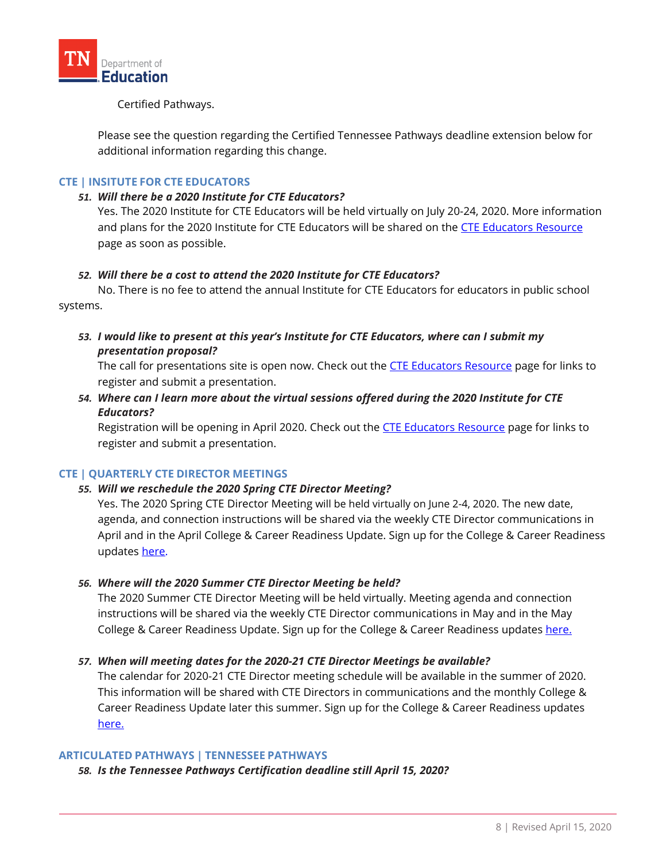

# Certified Pathways.

Please see the question regarding the Certified Tennessee Pathways deadline extension below for additional information regarding this change.

# **CTE | INSITUTE FOR CTE EDUCATORS**

#### *51. Will there be a 2020 Institute for CTE Educators?*

Yes. The 2020 Institute for CTE Educators will be held virtually on July 20-24, 2020. More information and plans for the 2020 Institute for CTE Educators will be shared on the [CTE Educators Resource](https://www.tn.gov/education/career-and-technical-education/cte-educator-resources.html) page as soon as possible.

# *52. Will there be a cost to attend the 2020 Institute for CTE Educators?*

No. There is no fee to attend the annual Institute for CTE Educators for educators in public school systems.

# *53. I would like to present at this year's Institute for CTE Educators, where can I submit my presentation proposal?*

The call for presentations site is open now. Check out the [CTE Educators Resource](https://www.tn.gov/education/career-and-technical-education/cte-educator-resources.html) page for links to register and submit a presentation.

*54. Where can I learn more about the virtual sessions offered during the 2020 Institute for CTE Educators?*

Registration will be opening in April 2020. Check out the [CTE Educators Resource](https://www.tn.gov/education/career-and-technical-education/cte-educator-resources.html) page for links to register and submit a presentation.

# **CTE | QUARTERLY CTE DIRECTOR MEETINGS**

#### *55. Will we reschedule the 2020 Spring CTE Director Meeting?*

Yes. The 2020 Spring CTE Director Meeting will be held virtually on June 2-4, 2020. The new date, agenda, and connection instructions will be shared via the weekly CTE Director communications in April and in the April College & Career Readiness Update. Sign up for the College & Career Readiness updates [here.](https://us8.list-manage.com/subscribe?u=b28b453ee164f9a2e2b5057e1&id=33181c2e2e)

#### *56. Where will the 2020 Summer CTE Director Meeting be held?*

The 2020 Summer CTE Director Meeting will be held virtually. Meeting agenda and connection instructions will be shared via the weekly CTE Director communications in May and in the May College & Career Readiness Update. Sign up for the College & Career Readiness update[s here.](https://us8.list-manage.com/subscribe?u=b28b453ee164f9a2e2b5057e1&id=33181c2e2e)

#### *57. When will meeting dates for the 2020-21 CTE Director Meetings be available?*

The calendar for 2020-21 CTE Director meeting schedule will be available in the summer of 2020. This information will be shared with CTE Directors in communications and the monthly College & Career Readiness Update later this summer. Sign up for the College & Career Readiness updates [here.](https://us8.list-manage.com/subscribe?u=b28b453ee164f9a2e2b5057e1&id=33181c2e2e)

#### **ARTICULATED PATHWAYS | TENNESSEE PATHWAYS**

*58. Is the Tennessee Pathways Certification deadline still April 15, 2020?*